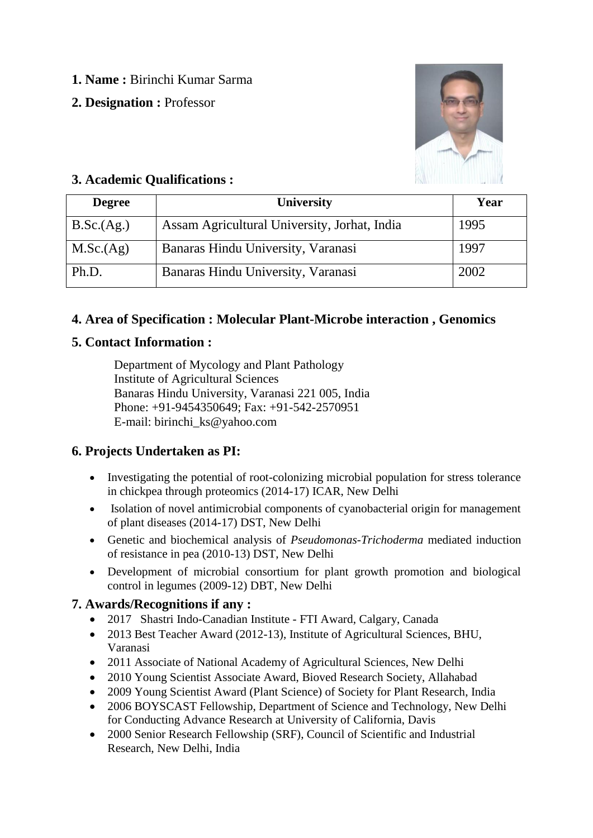- **1. Name :** Birinchi Kumar Sarma
- **2. Designation :** Professor



## **3. Academic Qualifications :**

| <b>Degree</b> | <b>University</b>                            | Year |
|---------------|----------------------------------------------|------|
| B.Sc.(Ag.)    | Assam Agricultural University, Jorhat, India | 1995 |
| M.Sc.(Ag)     | Banaras Hindu University, Varanasi           | 1997 |
| Ph.D.         | Banaras Hindu University, Varanasi           | 2002 |

## **4. Area of Specification : Molecular Plant-Microbe interaction , Genomics**

## **5. Contact Information :**

Department of Mycology and Plant Pathology Institute of Agricultural Sciences Banaras Hindu University, Varanasi 221 005, India Phone: +91-9454350649; Fax: +91-542-2570951 E-mail: birinchi\_ks@yahoo.com

# **6. Projects Undertaken as PI:**

- Investigating the potential of root-colonizing microbial population for stress tolerance in chickpea through proteomics (2014-17) ICAR, New Delhi
- Isolation of novel antimicrobial components of cyanobacterial origin for management of plant diseases (2014-17) DST, New Delhi
- Genetic and biochemical analysis of *Pseudomonas-Trichoderma* mediated induction of resistance in pea (2010-13) DST, New Delhi
- Development of microbial consortium for plant growth promotion and biological control in legumes (2009-12) DBT, New Delhi

## **7. Awards/Recognitions if any :**

- 2017 Shastri Indo-Canadian Institute FTI Award, Calgary, Canada
- 2013 Best Teacher Award (2012-13), Institute of Agricultural Sciences, BHU, Varanasi
- 2011 Associate of National Academy of Agricultural Sciences, New Delhi
- 2010 Young Scientist Associate Award, Bioved Research Society, Allahabad
- 2009 Young Scientist Award (Plant Science) of Society for Plant Research, India
- 2006 BOYSCAST Fellowship, Department of Science and Technology, New Delhi for Conducting Advance Research at University of California, Davis
- 2000 Senior Research Fellowship (SRF), Council of Scientific and Industrial Research, New Delhi, India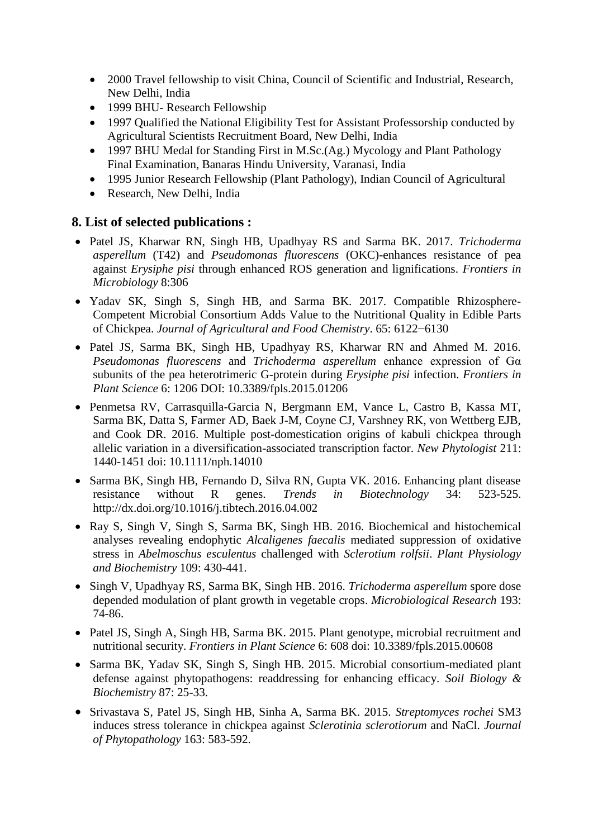- 2000 Travel fellowship to visit China, Council of Scientific and Industrial, Research, New Delhi, India
- 1999 BHU- Research Fellowship
- 1997 Qualified the National Eligibility Test for Assistant Professorship conducted by Agricultural Scientists Recruitment Board, New Delhi, India
- 1997 BHU Medal for Standing First in M.Sc.(Ag.) Mycology and Plant Pathology Final Examination, Banaras Hindu University, Varanasi, India
- 1995 Junior Research Fellowship (Plant Pathology), Indian Council of Agricultural
- Research, New Delhi, India

### **8. List of selected publications :**

- Patel JS, Kharwar RN, Singh HB, Upadhyay RS and Sarma BK. 2017. *Trichoderma asperellum* (T42) and *Pseudomonas fluorescens* (OKC)-enhances resistance of pea against *Erysiphe pisi* through enhanced ROS generation and lignifications. *Frontiers in Microbiology* 8:306
- [Yadav](http://pubs.acs.org/author/Yadav%2C+Sudheer+K) SK, [Singh](http://pubs.acs.org/author/Singh%2C+Surendra) S, [Singh](http://pubs.acs.org/author/Singh%2C+Harikesh+B) HB, and [Sarma](http://pubs.acs.org/author/Sarma%2C+Birinchi+K) BK. 2017. Compatible Rhizosphere-Competent Microbial Consortium Adds Value to the Nutritional Quality in Edible Parts of Chickpea. *Journal of Agricultural and Food Chemistry*. 65: 6122−6130
- Patel JS, Sarma BK, Singh HB, Upadhyay RS, Kharwar RN and Ahmed M. 2016. *Pseudomonas fluorescens* and *Trichoderma asperellum* enhance expression of Gα subunits of the pea heterotrimeric G-protein during *Erysiphe pisi* infection. *Frontiers in Plant Science* 6: 1206 DOI: 10.3389/fpls.2015.01206
- Penmetsa RV, Carrasquilla-Garcia N, Bergmann EM, Vance L, Castro B, Kassa MT, Sarma BK, Datta S, Farmer AD, Baek J-M, Coyne CJ, Varshney RK, von Wettberg EJB, and Cook DR. 2016. Multiple post-domestication origins of kabuli chickpea through allelic variation in a diversification-associated transcription factor. *New Phytologist* 211: 1440-1451 doi: 10.1111/nph.14010
- Sarma BK, Singh HB, Fernando D, Silva RN, Gupta VK. 2016. Enhancing plant disease resistance without R genes. *Trends in Biotechnology* 34: 523-525. http://dx.doi.org/10.1016/j.tibtech.2016.04.002
- Ray S, Singh V, Singh S, Sarma BK, Singh HB. 2016. Biochemical and histochemical analyses revealing endophytic *Alcaligenes faecalis* [mediated suppression of oxidative](https://scholar.google.co.in/citations?view_op=view_citation&hl=en&user=bXoHOjkAAAAJ&cstart=20&pagesize=80&citation_for_view=bXoHOjkAAAAJ:PR6Y55bgFSsC)  stress in *[Abelmoschus esculentus](https://scholar.google.co.in/citations?view_op=view_citation&hl=en&user=bXoHOjkAAAAJ&cstart=20&pagesize=80&citation_for_view=bXoHOjkAAAAJ:PR6Y55bgFSsC)* challenged with *Sclerotium rolfsii*. *Plant Physiology and Biochemistry* 109: 430-441.
- Singh V, Upadhyay RS, Sarma BK, Singh HB. 2016. *[Trichoderma asperellum](https://scholar.google.co.in/citations?view_op=view_citation&hl=en&user=bXoHOjkAAAAJ&cstart=20&pagesize=80&citation_for_view=bXoHOjkAAAAJ:ZuybSZzF8UAC)* spore dose [depended modulation of plant growth in vegetable crops.](https://scholar.google.co.in/citations?view_op=view_citation&hl=en&user=bXoHOjkAAAAJ&cstart=20&pagesize=80&citation_for_view=bXoHOjkAAAAJ:ZuybSZzF8UAC) *Microbiological Research* 193: 74-86.
- Patel JS, Singh A, Singh HB, Sarma BK. 2015. Plant genotype, microbial recruitment and nutritional security. *Frontiers in Plant Science* 6: 608 doi: 10.3389/fpls.2015.00608
- Sarma BK, Yadav SK, Singh S, Singh HB. 2015. Microbial consortium-mediated plant defense against phytopathogens: readdressing for enhancing efficacy. *Soil Biology & Biochemistry* 87: 25-33.
- Srivastava S, Patel JS, Singh HB, Sinha A, Sarma BK. 2015. *Streptomyces rochei* SM3 induces stress tolerance in chickpea against *Sclerotinia sclerotiorum* and NaCl. *Journal of Phytopathology* 163: 583-592.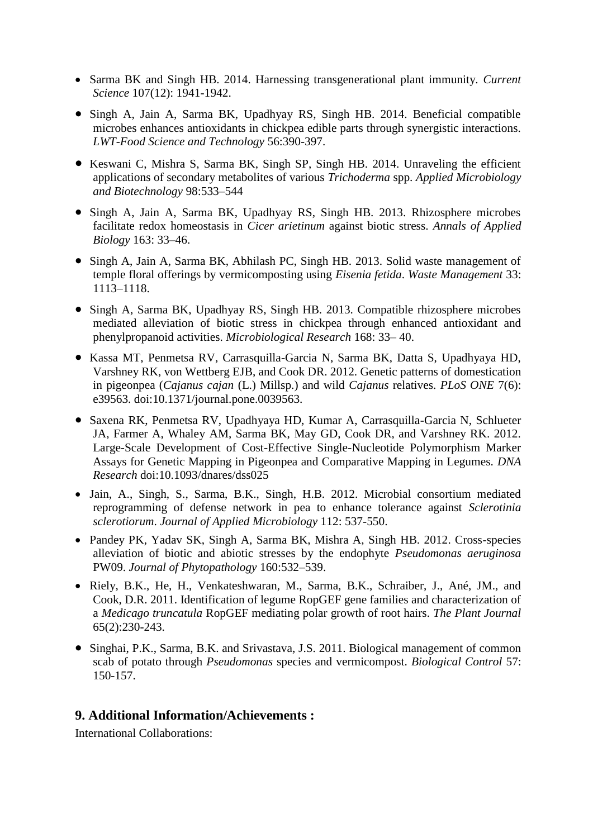- Sarma BK and Singh HB. 2014. Harnessing transgenerational plant immunity. *Current Science* 107(12): 1941-1942.
- Singh A, Jain A, Sarma BK, Upadhyay RS, Singh HB. 2014. Beneficial compatible microbes enhances antioxidants in chickpea edible parts through synergistic interactions. *LWT-Food Science and Technology* 56:390-397.
- Keswani C, Mishra S, Sarma BK, Singh SP, Singh HB. 2014. Unraveling the efficient applications of secondary metabolites of various *Trichoderma* spp. *Applied Microbiology and Biotechnology* 98:533–544
- Singh A, Jain A, Sarma BK, Upadhyay RS, Singh HB. 2013. Rhizosphere microbes facilitate redox homeostasis in *Cicer arietinum* against biotic stress. *Annals of Applied Biology* 163: 33–46.
- Singh A, Jain A, Sarma BK, Abhilash PC, Singh HB. 2013. Solid waste management of temple floral offerings by vermicomposting using *Eisenia fetida*. *Waste Management* 33: 1113–1118.
- Singh A, Sarma BK, Upadhyay RS, Singh HB. 2013. Compatible rhizosphere microbes mediated alleviation of biotic stress in chickpea through enhanced antioxidant and phenylpropanoid activities. *Microbiological Research* 168: 33– 40.
- Kassa MT, Penmetsa RV, Carrasquilla-Garcia N, Sarma BK, Datta S, Upadhyaya HD, Varshney RK, von Wettberg EJB, and Cook DR. 2012. Genetic patterns of domestication in pigeonpea (*Cajanus cajan* (L.) Millsp.) and wild *Cajanus* relatives. *PLoS ONE* 7(6): e39563. doi:10.1371/journal.pone.0039563.
- Saxena RK, Penmetsa RV, Upadhyaya HD, Kumar A, Carrasquilla-Garcia N, Schlueter JA, Farmer A, Whaley AM, Sarma BK, May GD, Cook DR, and Varshney RK. 2012. Large-Scale Development of Cost-Effective Single-Nucleotide Polymorphism Marker Assays for Genetic Mapping in Pigeonpea and Comparative Mapping in Legumes. *DNA Research* doi:10.1093/dnares/dss025
- Jain, A., Singh, S., Sarma, B.K., Singh, H.B. 2012. Microbial consortium mediated reprogramming of defense network in pea to enhance tolerance against *Sclerotinia sclerotiorum*. *Journal of Applied Microbiology* 112: 537-550.
- Pandey PK, Yadav SK, Singh A, Sarma BK, Mishra A, Singh HB. 2012. Cross-species alleviation of biotic and abiotic stresses by the endophyte *Pseudomonas aeruginosa* PW09. *Journal of Phytopathology* 160:532–539.
- Riely, B.K., He, H., Venkateshwaran, M., Sarma, B.K., Schraiber, J., Ané, JM., and Cook, D.R. 2011. Identification of legume RopGEF gene families and characterization of a *Medicago truncatula* RopGEF mediating polar growth of root hairs. *The Plant Journal* 65(2):230-243.
- Singhai, P.K., Sarma, B.K. and Srivastava, J.S. 2011. Biological management of common scab of potato through *Pseudomonas* species and vermicompost. *Biological Control* 57: 150-157.

#### **9. Additional Information/Achievements :**

International Collaborations: